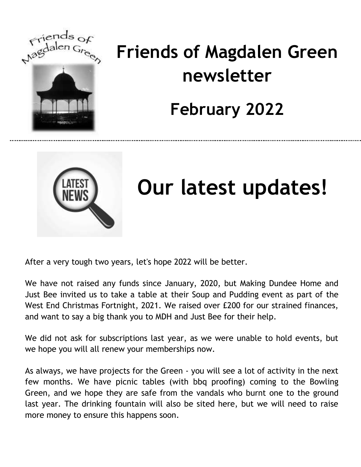

## **Friends of Magdalen Green newsletter February 2022**



## **Our latest updates!**

After a very tough two years, let's hope 2022 will be better.

We have not raised any funds since January, 2020, but Making Dundee Home and Just Bee invited us to take a table at their Soup and Pudding event as part of the West End Christmas Fortnight, 2021. We raised over £200 for our strained finances, and want to say a big thank you to MDH and Just Bee for their help.

We did not ask for subscriptions last year, as we were unable to hold events, but we hope you will all renew your memberships now.

As always, we have projects for the Green - you will see a lot of activity in the next few months. We have picnic tables (with bbq proofing) coming to the Bowling Green, and we hope they are safe from the vandals who burnt one to the ground last year. The drinking fountain will also be sited here, but we will need to raise more money to ensure this happens soon.